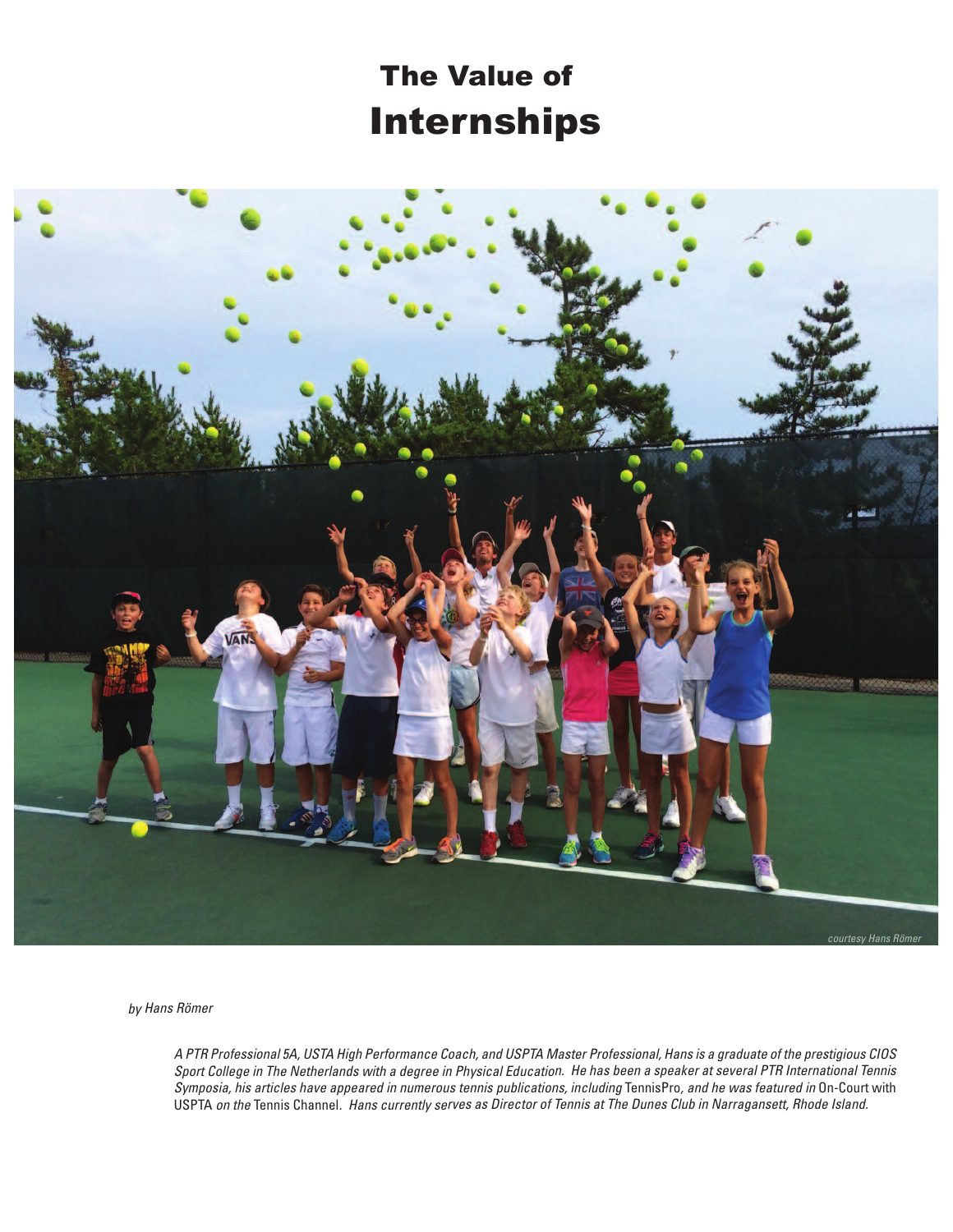## Internships The Value of



by Hans Römer

A PTR Professional 5A, USTA High Performance Coach, and USPTA Master Professional, Hans is <sup>a</sup> graduate of the prestigious CIOS Sport College in The Netherlands with <sup>a</sup> degree in Physical Education. He has been <sup>a</sup> speaker at several PTR International Tennis Symposia, his articles have appeared in numerous tennis publications, including TennisPro, and he was featured in On-Court with USPTA on the Tennis Channel. Hans currently serves as Director of Tennis at The Dunes Club in Narragansett, Rhode Island.